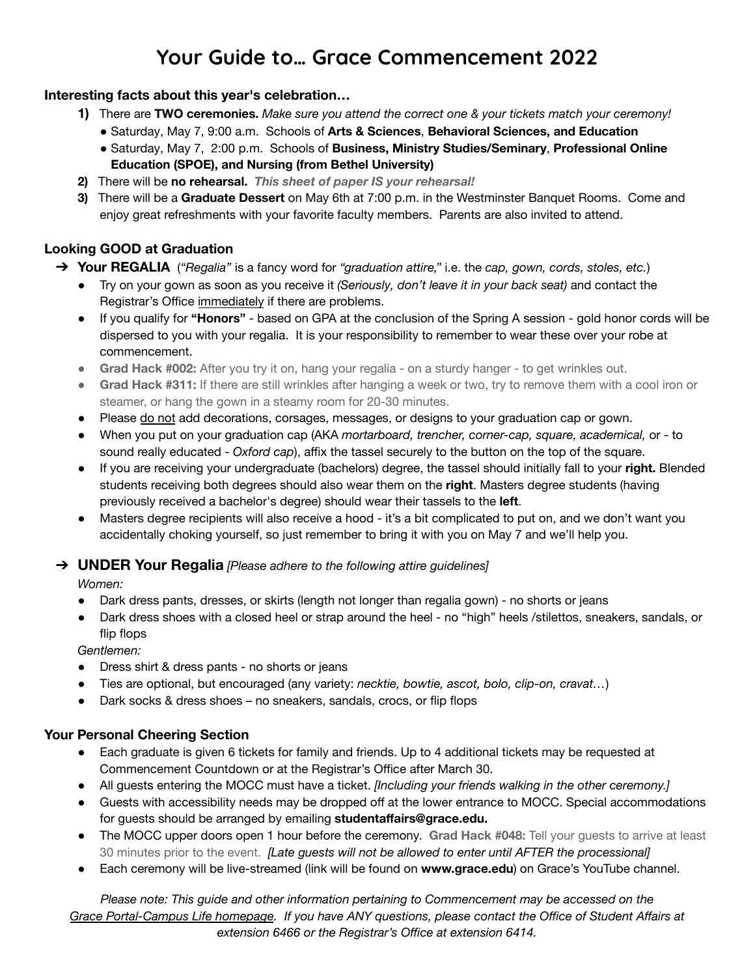# **Your Guide to… Grace Commencement 2022**

### **Interesting facts about this year's celebration…**

- **1)** There are **TWO ceremonies.** *Make sure you attend the correct one & your tickets match your ceremony!*
	- Saturday, May 7, 9:00 a.m. Schools of **Arts & Sciences**, **Behavioral Sciences, and Education**
	- Saturday, May 7, 2:00 p.m. Schools of **Business, Ministry Studies/Seminary**, **Professional Online Education (SPOE), and Nursing (from Bethel University)**
- **2)** There will be **no rehearsal.** *This sheet of paper IS your rehearsal!*
- **3)** There will be a **Graduate Dessert** on May 6th at 7:00 p.m. in the Westminster Banquet Rooms. Come and enjoy great refreshments with your favorite faculty members. Parents are also invited to attend.

## **Looking GOOD at Graduation**

- ➔ **Your REGALIA** (*"Regalia"* is a fancy word for *"graduation attire,"* i.e. the *cap, gown, cords, stoles, etc.*)
	- Try on your gown as soon as you receive it *(Seriously, don't leave it in your back seat)* and contact the Registrar's Office immediately if there are problems.
	- If you qualify for **"Honors"** based on GPA at the conclusion of the Spring A session gold honor cords will be dispersed to you with your regalia. It is your responsibility to remember to wear these over your robe at commencement.
	- **Grad Hack #002:** After you try it on, hang your regalia on a sturdy hanger to get wrinkles out.
	- **Grad Hack #311:** If there are still wrinkles after hanging a week or two, try to remove them with a cool iron or steamer, or hang the gown in a steamy room for 20-30 minutes.
	- Please do not add decorations, corsages, messages, or designs to your graduation cap or gown.
	- When you put on your graduation cap (AKA *mortarboard, trencher, corner-cap, square, academical,* or to sound really educated - *Oxford cap*), affix the tassel securely to the button on the top of the square.
	- If you are receiving your undergraduate (bachelors) degree, the tassel should initially fall to your **right.** Blended students receiving both degrees should also wear them on the **right**. Masters degree students (having previously received a bachelor's degree) should wear their tassels to the **left**.
	- Masters degree recipients will also receive a hood it's a bit complicated to put on, and we don't want you accidentally choking yourself, so just remember to bring it with you on May 7 and we'll help you.

#### ➔ **UNDER Your Regalia** *[Please adhere to the following attire guidelines]*

*Women:*

- Dark dress pants, dresses, or skirts (length not longer than regalia gown) no shorts or jeans
- Dark dress shoes with a closed heel or strap around the heel no "high" heels /stilettos, sneakers, sandals, or flip flops

*Gentlemen:*

- Dress shirt & dress pants no shorts or jeans
- Ties are optional, but encouraged (any variety: *necktie, bowtie, ascot, bolo, clip-on, cravat…*)
- Dark socks & dress shoes no sneakers, sandals, crocs, or flip flops

#### **Your Personal Cheering Section**

- Each graduate is given 6 tickets for family and friends. Up to 4 additional tickets may be requested at Commencement Countdown or at the Registrar's Office after March 30.
- All guests entering the MOCC must have a ticket. *[Including your friends walking in the other ceremony.]*
- Guests with accessibility needs may be dropped off at the lower entrance to MOCC. Special accommodations for guests should be arranged by emailing **[studentaffairs@grace.edu.](mailto:studentaffairs@grace.edu)**
- The MOCC upper doors open 1 hour before the ceremony. **Grad Hack #048:** Tell your guests to arrive at least 30 minutes prior to the event. *[Late guests will not be allowed to enter until AFTER the processional]*
- Each ceremony will be live-streamed (link will be found on **[www.grace.edu](http://www.grace.edu)**) on Grace's YouTube channel.

*Please note: This guide and other information pertaining to Commencement may be accessed on the* Grace Portal-Campus Life homepage. If you have ANY questions, please contact the Office of Student Affairs at *extension 6466 or the Registrar's Office at extension 6414.*